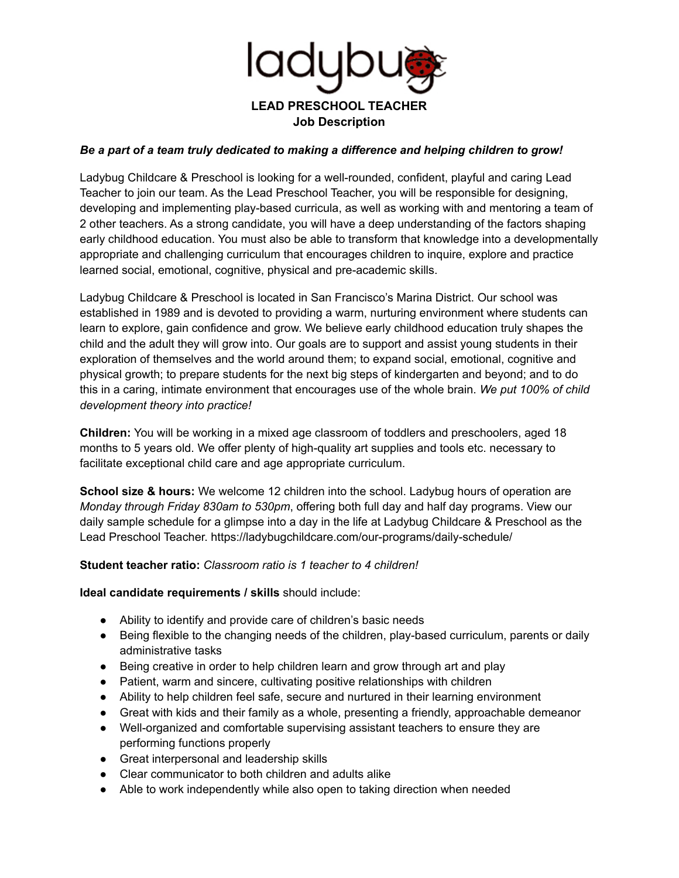

## *Be a part of a team truly dedicated to making a difference and helping children to grow!*

Ladybug Childcare & Preschool is looking for a well-rounded, confident, playful and caring Lead Teacher to join our team. As the Lead Preschool Teacher, you will be responsible for designing, developing and implementing play-based curricula, as well as working with and mentoring a team of 2 other teachers. As a strong candidate, you will have a deep understanding of the factors shaping early childhood education. You must also be able to transform that knowledge into a developmentally appropriate and challenging curriculum that encourages children to inquire, explore and practice learned social, emotional, cognitive, physical and pre-academic skills.

Ladybug Childcare & Preschool is located in San Francisco's Marina District. Our school was established in 1989 and is devoted to providing a warm, nurturing environment where students can learn to explore, gain confidence and grow. We believe early childhood education truly shapes the child and the adult they will grow into. Our goals are to support and assist young students in their exploration of themselves and the world around them; to expand social, emotional, cognitive and physical growth; to prepare students for the next big steps of kindergarten and beyond; and to do this in a caring, intimate environment that encourages use of the whole brain. *We put 100% of child development theory into practice!*

**Children:** You will be working in a mixed age classroom of toddlers and preschoolers, aged 18 months to 5 years old. We offer plenty of high-quality art supplies and tools etc. necessary to facilitate exceptional child care and age appropriate curriculum.

**School size & hours:** We welcome 12 children into the school. Ladybug hours of operation are *Monday through Friday 830am to 530pm*, offering both full day and half day programs. View our daily sample schedule for a glimpse into a day in the life at Ladybug Childcare & Preschool as the Lead Preschool Teacher. https://ladybugchildcare.com/our-programs/daily-schedule/

**Student teacher ratio:** *Classroom ratio is 1 teacher to 4 children!*

**Ideal candidate requirements / skills** should include:

- Ability to identify and provide care of children's basic needs
- Being flexible to the changing needs of the children, play-based curriculum, parents or daily administrative tasks
- Being creative in order to help children learn and grow through art and play
- Patient, warm and sincere, cultivating positive relationships with children
- Ability to help children feel safe, secure and nurtured in their learning environment
- Great with kids and their family as a whole, presenting a friendly, approachable demeanor
- Well-organized and comfortable supervising assistant teachers to ensure they are performing functions properly
- Great interpersonal and leadership skills
- Clear communicator to both children and adults alike
- Able to work independently while also open to taking direction when needed